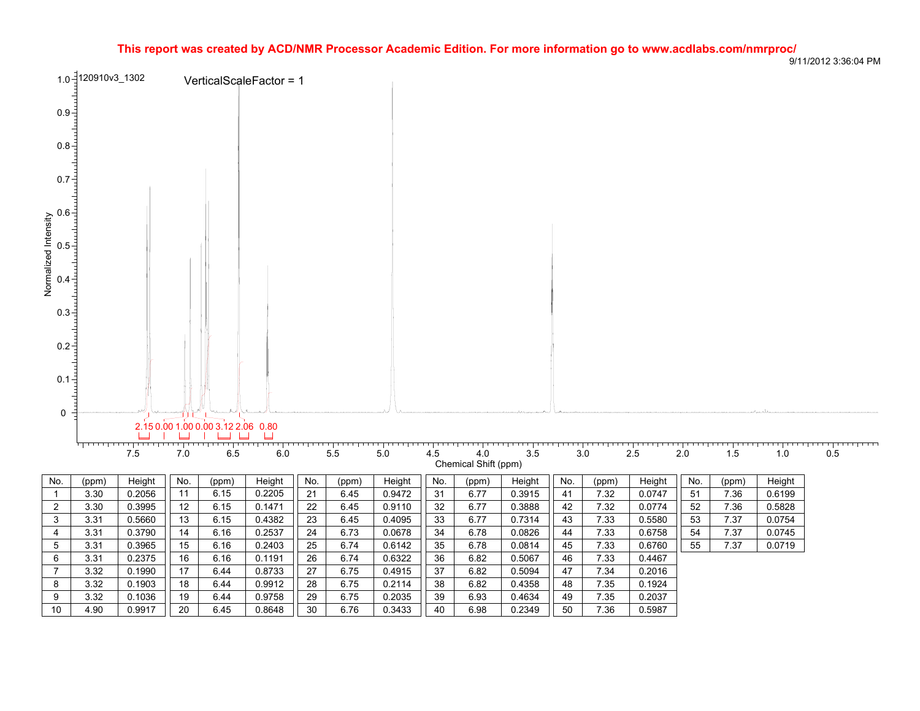## **This report was created by ACD/NMR Processor Academic Edition. For more information go to www.acdlabs.com/nmrproc/**



9/11/2012 3:36:04 PM